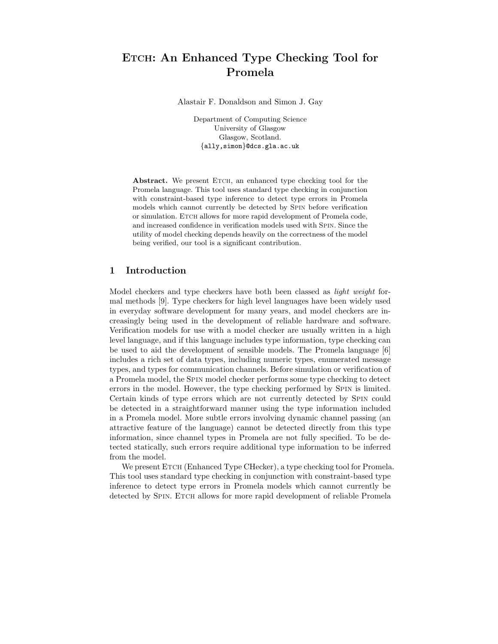# **ETCH: An Enhanced Type Checking Tool for Promela**

Alastair F. Donaldson and Simon J. Gay

Department of Computing Science University of Glasgow Glasgow, Scotland. *{*ally,simon*}*@dcs.gla.ac.uk

**Abstract.** We present ETCH, an enhanced type checking tool for the Promela language. This tool uses standard type checking in conjunction with constraint-based type inference to detect type errors in Promela models which cannot currently be detected by SPIN before verification or simulation. ETCH allows for more rapid development of Promela code, and increased confidence in verification models used with SPIN. Since the utility of model checking depends heavily on the correctness of the model being verified, our tool is a significant contribution.

### **1 Introduction**

Model checkers and type checkers have both been classed as *light weight* formal methods [9]. Type checkers for high level languages have been widely used in everyday software development for many years, and model checkers are increasingly being used in the development of reliable hardware and software. Verification models for use with a model checker are usually written in a high level language, and if this language includes type information, type checking can be used to aid the development of sensible models. The Promela language [6] includes a rich set of data types, including numeric types, enumerated message types, and types for communication channels. Before simulation or verification of a Promela model, the SPIN model checker performs some type checking to detect errors in the model. However, the type checking performed by SPIN is limited. Certain kinds of type errors which are not currently detected by SPIN could be detected in a straightforward manner using the type information included in a Promela model. More subtle errors involving dynamic channel passing (an attractive feature of the language) cannot be detected directly from this type information, since channel types in Promela are not fully specified. To be detected statically, such errors require additional type information to be inferred from the model.

We present ETCH (Enhanced Type CHecker), a type checking tool for Promela. This tool uses standard type checking in conjunction with constraint-based type inference to detect type errors in Promela models which cannot currently be detected by SPIN. ETCH allows for more rapid development of reliable Promela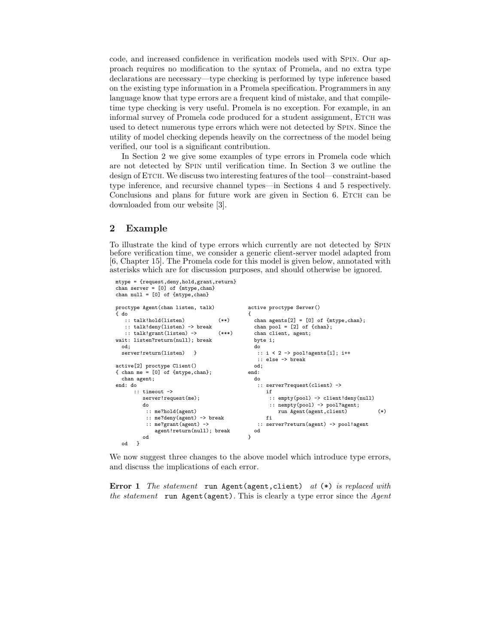code, and increased confidence in verification models used with SPIN. Our approach requires no modification to the syntax of Promela, and no extra type declarations are necessary—type checking is performed by type inference based on the existing type information in a Promela specification. Programmers in any language know that type errors are a frequent kind of mistake, and that compiletime type checking is very useful. Promela is no exception. For example, in an informal survey of Promela code produced for a student assignment, ETCH was used to detect numerous type errors which were not detected by SPIN. Since the utility of model checking depends heavily on the correctness of the model being verified, our tool is a significant contribution.

In Section 2 we give some examples of type errors in Promela code which are not detected by SPIN until verification time. In Section 3 we outline the design of ETCH. We discuss two interesting features of the tool—constraint-based type inference, and recursive channel types—in Sections 4 and 5 respectively. Conclusions and plans for future work are given in Section 6. ETCH can be downloaded from our website [3].

#### **2 Example**

To illustrate the kind of type errors which currently are not detected by SPIN before verification time, we consider a generic client-server model adapted from [6, Chapter 15]. The Promela code for this model is given below, annotated with asterisks which are for discussion purposes, and should otherwise be ignored.

```
mtype = {request,deny,hold,grant,return}
chan server = [0] of {\text{intype}, \text{chan}}chan null = [0] of {m \choose m}, chan}
proctype Agent(chan listen, talk) active proctype Server()
\{ do \}:: talk!hold(listen) (**) chan agents[2] = [0] of {mtype,chan};<br>:: talk!deny(listen) -> break chan pool = [2] of {chan};
                                (\ast \ast \ast) chan pool = [2] of {chan};<br>(***) chan client, agent:
   :: talk!grant(listen) -> (***) chan client, agent;
wait: listen?return(null); break byte i;<br>od: do
  od; do
  server!return(listen) } \qquad \qquad :: \ i \leq 2 \ \Rightarrow \ \text{pool!agents[i]; } \ i \text{++}:: else -> break
active[2] proctype Client() od;
{ chan me = [0] of {mtype, chan}; end:<br>chan agent: do
  chan agent;
end: do \qquad \qquad :: server?request(client) -> \qquad \qquad \qquad if
      : t imeout \rightarrowserver!request(me); :: empty(pool) -> client!deny(null)
        do :: nempty(pool) -> pool?agent;
                                                  :: me?hold(agent) run Agent(agent,client) (*)
         :: me?deny(agent) -> break fi
                                              server?return(agent) -> pool!agent
            agent!return(null); break od
         od }
  od }
```
We now suggest three changes to the above model which introduce type errors, and discuss the implications of each error.

**Error 1** *The statement* run Agent(agent,client) *at* (\*) *is replaced with the statement* run Agent(agent)*.* This is clearly a type error since the *Agent*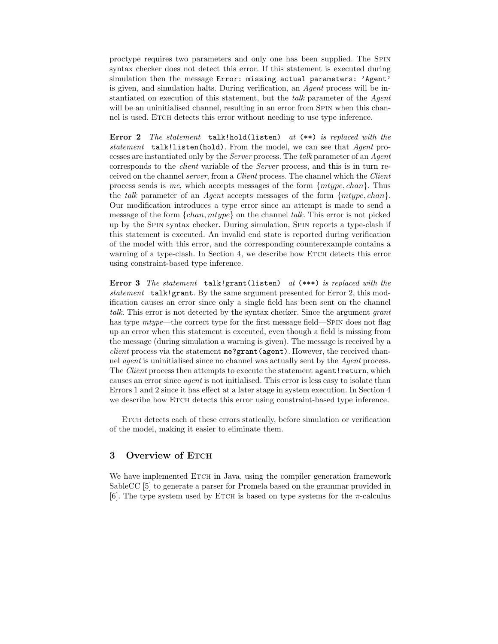proctype requires two parameters and only one has been supplied. The SPIN syntax checker does not detect this error. If this statement is executed during simulation then the message Error: missing actual parameters: 'Agent' is given, and simulation halts. During verification, an *Agent* process will be instantiated on execution of this statement, but the *talk* parameter of the *Agent* will be an uninitialised channel, resulting in an error from SPIN when this channel is used. ETCH detects this error without needing to use type inference.

**Error 2** *The statement* talk!hold(listen) *at* (\*\*) *is replaced with the statement* talk!listen(hold)*.* From the model, we can see that *Agent* processes are instantiated only by the *Server* process. The *talk* parameter of an *Agent* corresponds to the *client* variable of the *Server* process, and this is in turn received on the channel *server*, from a *Client* process. The channel which the *Client* process sends is *me*, which accepts messages of the form *{*mtype, chan*}*. T hus the *talk* parameter of an *Agent* accepts messages of the form *{*mtype, chan*}*. Our modification introduces a type error since an attempt is made to send a message of the form *{*chan, mtype*}* on the channel *talk*. This error is not picked up by the SPIN syntax checker. During simulation, SPIN reports a type-clash if this statement is executed. An invalid end state is reported during verification of the model with this error, and the corresponding counterexample contains a warning of a type-clash. In Section 4, we describe how ETCH detects this error using constraint-based type inference.

**Error 3** *The statement* talk!grant(listen) *at* (\*\*\*) *is replaced with the statement* talk!grant*.* By the same argument presented for Error 2, this modification causes an error since only a single field has been sent on the channel *talk*. This error is not detected by the syntax checker. Since the argument *grant* has type *mtype*—the correct type for the first message field—SPIN does not flag up an error when this statement is executed, even though a field is missing from the message (during simulation a warning is given). The message is received by a *client* process via the statement me?grant(agent). However, the received channel *agent* is uninitialised since no channel was actually sent by the *Agent* process. The *Client* process then attempts to execute the statement agent!return, which causes an error since *agent* is not initialised. This error is less easy to isolate than Errors 1 and 2 since it has effect at a later stage in system execution. In Section 4 we describe how ETCH detects this error using constraint-based type inference.

ETCH detects each of these errors statically, before simulation or verification of the model, making it easier to eliminate them.

## **3 Overview of ETCH**

We have implemented ETCH in Java, using the compiler generation framework SableCC [5] to generate a parser for Promela based on the grammar provided in [6]. The type system used by ETCH is based on type systems for the  $\pi$ -calculus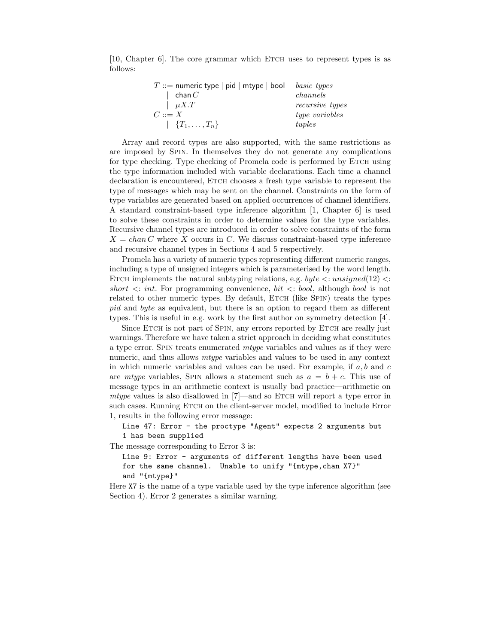[10, Chapter 6]. The core grammar which ETCH uses to represent types is as follows:

| $T ::=$ numeric type   pid   mtype   bool | basic types            |
|-------------------------------------------|------------------------|
| $\perp$ chan $C$                          | channels               |
| $\mu X.T$                                 | <i>recursive types</i> |
| $C ::= X$                                 | type variables         |
| $\left\{\,T_1,\ldots,T_n\right\}$         | tuples                 |

Array and record types are also supported, with the same restrictions as are imposed by SPIN. In themselves they do not generate any complications for type checking. Type checking of Promela code is performed by ETCH using the type information included with variable declarations. Each time a channel declaration is encountered, ETCH chooses a fresh type variable to represent the type of messages which may be sent on the channel. Constraints on the form of type variables are generated based on applied occurrences of channel identifiers. A standard constraint-based type inference algorithm [1, Chapter 6] is used to solve these constraints in order to determine values for the type variables. Recursive channel types are introduced in order to solve constraints of the form  $X = chan C$  where X occurs in C. We discuss constraint-based type inference and recursive channel types in Sections 4 and 5 respectively.

Promela has a variety of numeric types representing different numeric ranges, including a type of unsigned integers which is parameterised by the word length. ETCH implements the natural subtyping relations, e.g. byte  $\lt$ : unsigned(12) $\lt$ : short  $\langle$ : int. For programming convenience, bit  $\langle$ : bool, although bool is not related to other numeric types. By default, ETCH (like SPIN) treats the types pid and byte as equivalent, but there is an option to regard them as different types. This is useful in e.g. work by the first author on symmetry detection [4].

Since ETCH is not part of SPIN, any errors reported by ETCH are really just warnings. Therefore we have taken a strict approach in deciding what constitutes a type error. SPIN treats enumerated *mtype* variables and values as if they were numeric, and thus allows *mtype* variables and values to be used in any context in which numeric variables and values can be used. For example, if  $a, b$  and  $c$ are *mtype* variables, SPIN allows a statement such as  $a = b + c$ . This use of message types in an arithmetic context is usually bad practice—arithmetic on *mtype* values is also disallowed in [7]—and so ETCH will report a type error in such cases. Running ETCH on the client-server model, modified to include Error 1, results in the following error message:

Line 47: Error - the proctype "Agent" expects 2 arguments but 1 has been supplied

The message corresponding to Error 3 is:

```
Line 9: Error - arguments of different lengths have been used
for the same channel. Unable to unify "{mtype,chan X7}"
and "{mtype}"
```
Here X7 is the name of a type variable used by the type inference algorithm (see Section 4). Error 2 generates a similar warning.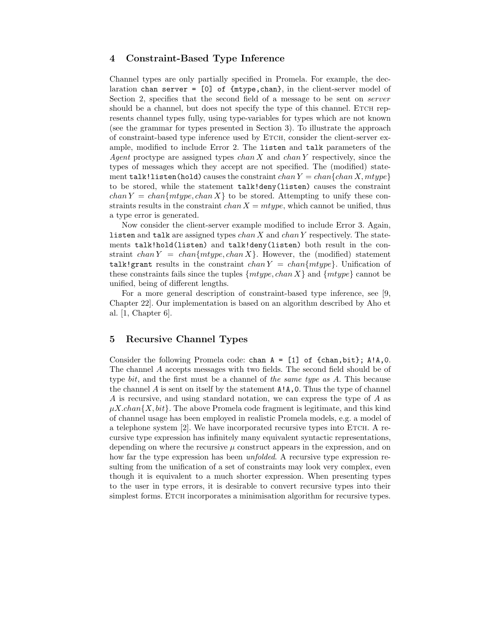### **4 Constraint-Based Type Inference**

Channel types are only partially specified in Promela. For example, the declaration chan server =  $[0]$  of {mtype, chan}, in the client-server model of Section 2, specifies that the second field of a message to be sent on server should be a channel, but does not specify the type of this channel. ETCH represents channel types fully, using type-variables for types which are not known (see the grammar for types presented in Section 3). To illustrate the approach of constraint-based type inference used by ETCH, consider the client-server example, modified to include Error 2. The listen and talk parameters of the *Agent* proctype are assigned types chan X and chan Y respectively, since the types of messages which they accept are not specified. The (modified) statement talk!listen(hold) causes the constraint  $chan Y = chan{chan X, mype}$ to be stored, while the statement talk!deny(listen) causes the constraint  $\text{chan } Y = \text{chan}\{\text{mtype}, \text{chan } X\}$  to be stored. Attempting to unify these constraints results in the constraint *chan*  $X = mtype$ , which cannot be unified, thus a type error is generated.

Now consider the client-server example modified to include Error 3. Again, listen and talk are assigned types  $chan X$  and  $chan Y$  respectively. The statements talk!hold(listen) and talk!deny(listen) both result in the constraint  $chan Y = chan{mtype, chan X}$ . However, the (modified) statement talk!grant results in the constraint  $chanY = chan{mtype}$ . Unification of these constraints fails since the tuples *{*mtype, chan X*}* and *{*mtype*}* cannot be unified, being of different lengths.

For a more general description of constraint-based type inference, see [9, Chapter 22]. Our implementation is based on an algorithm described by Aho et al. [1, Chapter 6].

#### **5 Recursive Channel Types**

Consider the following Promela code: chan  $A = [1]$  of  ${\text{chan}, \text{bit}}$ ;  $A: A, 0$ . The channel A accepts messages with two fields. The second field should be of type bit, and the first must be a channel of *the same type as* A. This because the channel  $A$  is sent on itself by the statement  $A: A, O$ . Thus the type of channel A is recursive, and using standard notation, we can express the type of A as  $\mu X. chan\{X, bit\}$ . The above Promela code fragment is legitimate, and this kind of channel usage has been employed in realistic Promela models, e.g. a model of a telephone system [2]. We have incorporated recursive types into ETCH. A recursive type expression has infinitely many equivalent syntactic representations, depending on where the recursive  $\mu$  construct appears in the expression, and on how far the type expression has been *unfolded*. A recursive type expression resulting from the unification of a set of constraints may look very complex, even though it is equivalent to a much shorter expression. When presenting types to the user in type errors, it is desirable to convert recursive types into their simplest forms. ETCH incorporates a minimisation algorithm for recursive types.